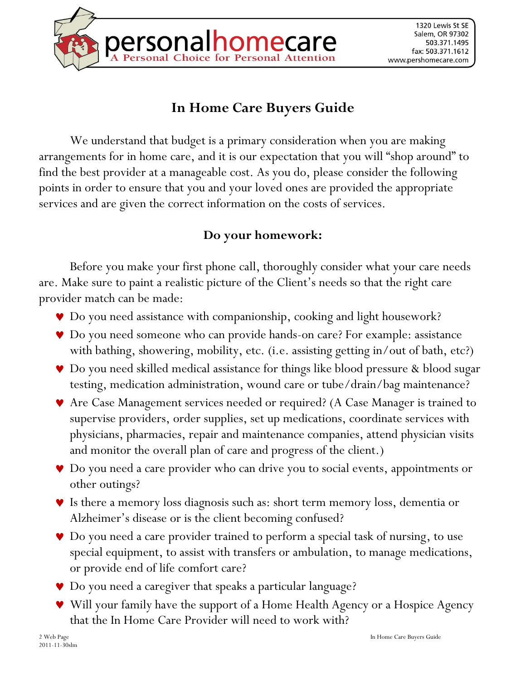

## **In Home Care Buyers Guide**

We understand that budget is a primary consideration when you are making arrangements for in home care, and it is our expectation that you will "shop around" to find the best provider at a manageable cost. As you do, please consider the following points in order to ensure that you and your loved ones are provided the appropriate services and are given the correct information on the costs of services.

## **Do your homework:**

Before you make your first phone call, thoroughly consider what your care needs are. Make sure to paint a realistic picture of the Client's needs so that the right care provider match can be made:

- Do you need assistance with companionship, cooking and light housework?
- Do you need someone who can provide hands-on care? For example: assistance with bathing, showering, mobility, etc. (i.e. assisting getting in/out of bath, etc?)
- Do you need skilled medical assistance for things like blood pressure & blood sugar testing, medication administration, wound care or tube/drain/bag maintenance?
- Are Case Management services needed or required? (A Case Manager is trained to supervise providers, order supplies, set up medications, coordinate services with physicians, pharmacies, repair and maintenance companies, attend physician visits and monitor the overall plan of care and progress of the client.)
- Do you need a care provider who can drive you to social events, appointments or other outings?
- Is there a memory loss diagnosis such as: short term memory loss, dementia or Alzheimer's disease or is the client becoming confused?
- Do you need a care provider trained to perform a special task of nursing, to use special equipment, to assist with transfers or ambulation, to manage medications, or provide end of life comfort care?
- Do you need a caregiver that speaks a particular language?
- Will your family have the support of a Home Health Agency or a Hospice Agency that the In Home Care Provider will need to work with?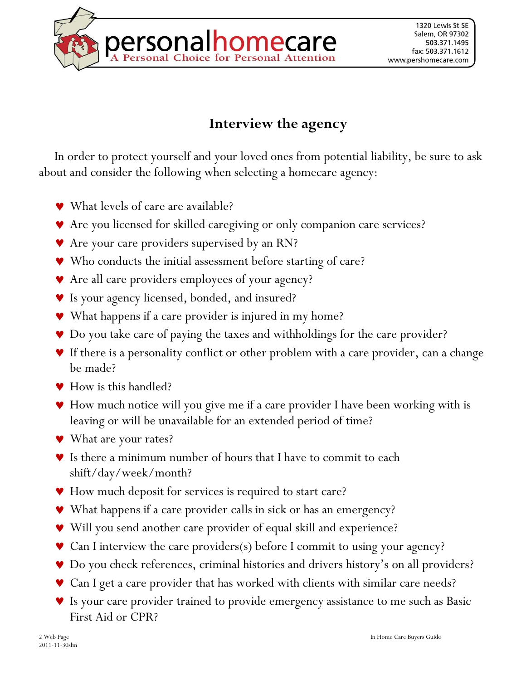

## **Interview the agency**

In order to protect yourself and your loved ones from potential liability, be sure to ask about and consider the following when selecting a homecare agency:

- What levels of care are available?
- Are you licensed for skilled caregiving or only companion care services?
- ◆ Are your care providers supervised by an RN?
- Who conducts the initial assessment before starting of care?
- Are all care providers employees of your agency?
- Is your agency licensed, bonded, and insured?
- ◆ What happens if a care provider is injured in my home?
- Do you take care of paying the taxes and withholdings for the care provider?
- If there is a personality conflict or other problem with a care provider, can a change be made?
- ◆ How is this handled?
- How much notice will you give me if a care provider I have been working with is leaving or will be unavailable for an extended period of time?
- ◆ What are your rates?
- Is there a minimum number of hours that I have to commit to each shift/day/week/month?
- ◆ How much deposit for services is required to start care?
- What happens if a care provider calls in sick or has an emergency?
- ◆ Will you send another care provider of equal skill and experience?
- ◆ Can I interview the care providers(s) before I commit to using your agency?
- Do you check references, criminal histories and drivers history's on all providers?
- ◆ Can I get a care provider that has worked with clients with similar care needs?
- Is your care provider trained to provide emergency assistance to me such as Basic First Aid or CPR?